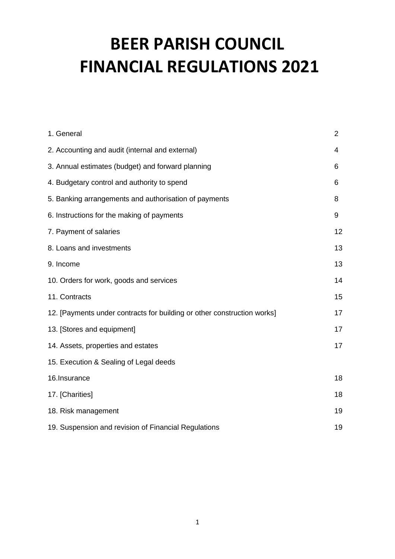| 1. General                                                              | 2  |
|-------------------------------------------------------------------------|----|
| 2. Accounting and audit (internal and external)                         | 4  |
| 3. Annual estimates (budget) and forward planning                       | 6  |
| 4. Budgetary control and authority to spend                             | 6  |
| 5. Banking arrangements and authorisation of payments                   | 8  |
| 6. Instructions for the making of payments                              | 9  |
| 7. Payment of salaries                                                  | 12 |
| 8. Loans and investments                                                | 13 |
| 9. Income                                                               | 13 |
| 10. Orders for work, goods and services                                 | 14 |
| 11. Contracts                                                           | 15 |
| 12. [Payments under contracts for building or other construction works] | 17 |
| 13. [Stores and equipment]                                              | 17 |
| 14. Assets, properties and estates                                      | 17 |
| 15. Execution & Sealing of Legal deeds                                  |    |
| 16.Insurance                                                            | 18 |
| 17. [Charities]                                                         | 18 |
| 18. Risk management                                                     | 19 |
| 19. Suspension and revision of Financial Regulations                    | 19 |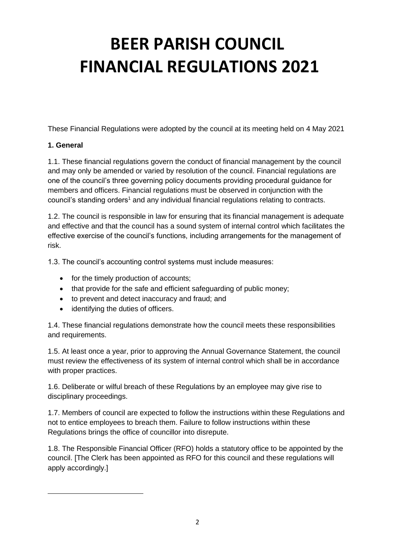These Financial Regulations were adopted by the council at its meeting held on 4 May 2021

#### **1. General**

1.1. These financial regulations govern the conduct of financial management by the council and may only be amended or varied by resolution of the council. Financial regulations are one of the council's three governing policy documents providing procedural guidance for members and officers. Financial regulations must be observed in conjunction with the council's standing orders<sup>1</sup> and any individual financial regulations relating to contracts.

1.2. The council is responsible in law for ensuring that its financial management is adequate and effective and that the council has a sound system of internal control which facilitates the effective exercise of the council's functions, including arrangements for the management of risk.

1.3. The council's accounting control systems must include measures:

- for the timely production of accounts;
- that provide for the safe and efficient safeguarding of public money;
- to prevent and detect inaccuracy and fraud; and
- identifying the duties of officers.

1.4. These financial regulations demonstrate how the council meets these responsibilities and requirements.

1.5. At least once a year, prior to approving the Annual Governance Statement, the council must review the effectiveness of its system of internal control which shall be in accordance with proper practices.

1.6. Deliberate or wilful breach of these Regulations by an employee may give rise to disciplinary proceedings.

1.7. Members of council are expected to follow the instructions within these Regulations and not to entice employees to breach them. Failure to follow instructions within these Regulations brings the office of councillor into disrepute.

1.8. The Responsible Financial Officer (RFO) holds a statutory office to be appointed by the council. [The Clerk has been appointed as RFO for this council and these regulations will apply accordingly.]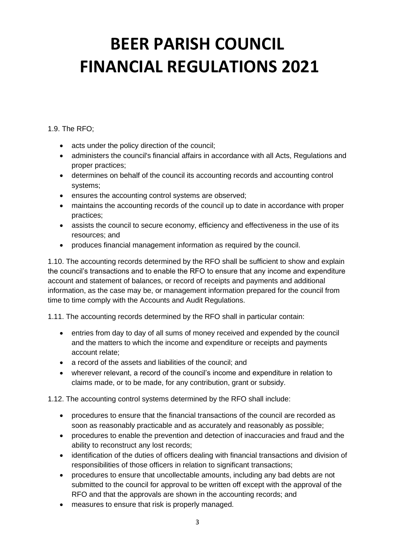#### 1.9. The RFO;

- acts under the policy direction of the council;
- administers the council's financial affairs in accordance with all Acts, Regulations and proper practices;
- determines on behalf of the council its accounting records and accounting control systems;
- ensures the accounting control systems are observed;
- maintains the accounting records of the council up to date in accordance with proper practices;
- assists the council to secure economy, efficiency and effectiveness in the use of its resources; and
- produces financial management information as required by the council.

1.10. The accounting records determined by the RFO shall be sufficient to show and explain the council's transactions and to enable the RFO to ensure that any income and expenditure account and statement of balances, or record of receipts and payments and additional information, as the case may be, or management information prepared for the council from time to time comply with the Accounts and Audit Regulations.

1.11. The accounting records determined by the RFO shall in particular contain:

- entries from day to day of all sums of money received and expended by the council and the matters to which the income and expenditure or receipts and payments account relate;
- a record of the assets and liabilities of the council; and
- wherever relevant, a record of the council's income and expenditure in relation to claims made, or to be made, for any contribution, grant or subsidy.

1.12. The accounting control systems determined by the RFO shall include:

- procedures to ensure that the financial transactions of the council are recorded as soon as reasonably practicable and as accurately and reasonably as possible;
- procedures to enable the prevention and detection of inaccuracies and fraud and the ability to reconstruct any lost records;
- identification of the duties of officers dealing with financial transactions and division of responsibilities of those officers in relation to significant transactions;
- procedures to ensure that uncollectable amounts, including any bad debts are not submitted to the council for approval to be written off except with the approval of the RFO and that the approvals are shown in the accounting records; and
- measures to ensure that risk is properly managed.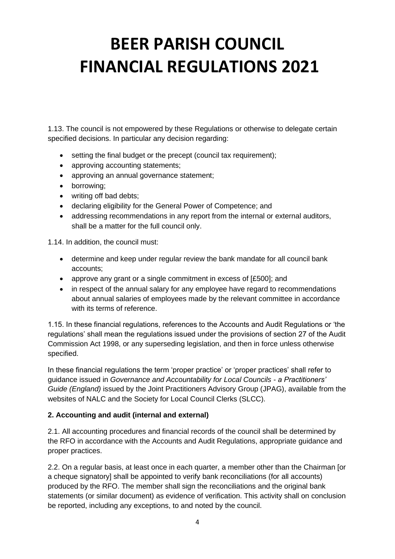1.13. The council is not empowered by these Regulations or otherwise to delegate certain specified decisions. In particular any decision regarding:

- setting the final budget or the precept (council tax requirement);
- approving accounting statements:
- approving an annual governance statement;
- borrowing;
- writing off bad debts;
- declaring eligibility for the General Power of Competence; and
- addressing recommendations in any report from the internal or external auditors, shall be a matter for the full council only.

1.14. In addition, the council must:

- determine and keep under regular review the bank mandate for all council bank accounts;
- approve any grant or a single commitment in excess of [£500]; and
- in respect of the annual salary for any employee have regard to recommendations about annual salaries of employees made by the relevant committee in accordance with its terms of reference.

1.15. In these financial regulations, references to the Accounts and Audit Regulations or 'the regulations' shall mean the regulations issued under the provisions of section 27 of the Audit Commission Act 1998, or any superseding legislation, and then in force unless otherwise specified.

In these financial regulations the term 'proper practice' or 'proper practices' shall refer to guidance issued in *Governance and Accountability for Local Councils - a Practitioners' Guide (England)* issued by the Joint Practitioners Advisory Group (JPAG), available from the websites of NALC and the Society for Local Council Clerks (SLCC).

#### **2. Accounting and audit (internal and external)**

2.1. All accounting procedures and financial records of the council shall be determined by the RFO in accordance with the Accounts and Audit Regulations, appropriate guidance and proper practices.

2.2. On a regular basis, at least once in each quarter, a member other than the Chairman [or a cheque signatory] shall be appointed to verify bank reconciliations (for all accounts) produced by the RFO. The member shall sign the reconciliations and the original bank statements (or similar document) as evidence of verification. This activity shall on conclusion be reported, including any exceptions, to and noted by the council.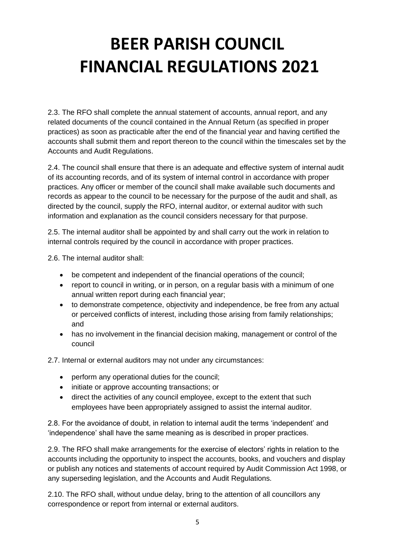2.3. The RFO shall complete the annual statement of accounts, annual report, and any related documents of the council contained in the Annual Return (as specified in proper practices) as soon as practicable after the end of the financial year and having certified the accounts shall submit them and report thereon to the council within the timescales set by the Accounts and Audit Regulations.

2.4. The council shall ensure that there is an adequate and effective system of internal audit of its accounting records, and of its system of internal control in accordance with proper practices. Any officer or member of the council shall make available such documents and records as appear to the council to be necessary for the purpose of the audit and shall, as directed by the council, supply the RFO, internal auditor, or external auditor with such information and explanation as the council considers necessary for that purpose.

2.5. The internal auditor shall be appointed by and shall carry out the work in relation to internal controls required by the council in accordance with proper practices.

2.6. The internal auditor shall:

- be competent and independent of the financial operations of the council;
- report to council in writing, or in person, on a regular basis with a minimum of one annual written report during each financial year;
- to demonstrate competence, objectivity and independence, be free from any actual or perceived conflicts of interest, including those arising from family relationships; and
- has no involvement in the financial decision making, management or control of the council

2.7. Internal or external auditors may not under any circumstances:

- perform any operational duties for the council;
- initiate or approve accounting transactions; or
- direct the activities of any council employee, except to the extent that such employees have been appropriately assigned to assist the internal auditor.

2.8. For the avoidance of doubt, in relation to internal audit the terms 'independent' and 'independence' shall have the same meaning as is described in proper practices.

2.9. The RFO shall make arrangements for the exercise of electors' rights in relation to the accounts including the opportunity to inspect the accounts, books, and vouchers and display or publish any notices and statements of account required by Audit Commission Act 1998, or any superseding legislation, and the Accounts and Audit Regulations.

2.10. The RFO shall, without undue delay, bring to the attention of all councillors any correspondence or report from internal or external auditors.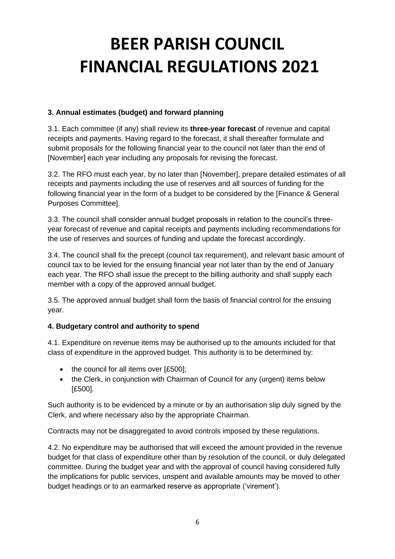#### **3. Annual estimates (budget) and forward planning**

3.1. Each committee (if any) shall review its **three-year forecast** of revenue and capital receipts and payments. Having regard to the forecast, it shall thereafter formulate and submit proposals for the following financial year to the council not later than the end of [November] each year including any proposals for revising the forecast.

3.2. The RFO must each year, by no later than [November], prepare detailed estimates of all receipts and payments including the use of reserves and all sources of funding for the following financial year in the form of a budget to be considered by the [Finance & General Purposes Committee].

3.3. The council shall consider annual budget proposals in relation to the council's threeyear forecast of revenue and capital receipts and payments including recommendations for the use of reserves and sources of funding and update the forecast accordingly.

3.4. The council shall fix the precept (council tax requirement), and relevant basic amount of council tax to be levied for the ensuing financial year not later than by the end of January each year. The RFO shall issue the precept to the billing authority and shall supply each member with a copy of the approved annual budget.

3.5. The approved annual budget shall form the basis of financial control for the ensuing year.

#### **4. Budgetary control and authority to spend**

4.1. Expenditure on revenue items may be authorised up to the amounts included for that class of expenditure in the approved budget. This authority is to be determined by:

- the council for all items over [£500];
- the Clerk, in conjunction with Chairman of Council for any (urgent) items below [£500].

Such authority is to be evidenced by a minute or by an authorisation slip duly signed by the Clerk, and where necessary also by the appropriate Chairman.

Contracts may not be disaggregated to avoid controls imposed by these regulations.

4.2. No expenditure may be authorised that will exceed the amount provided in the revenue budget for that class of expenditure other than by resolution of the council, or duly delegated committee. During the budget year and with the approval of council having considered fully the implications for public services, unspent and available amounts may be moved to other budget headings or to an earmarked reserve as appropriate ('virement').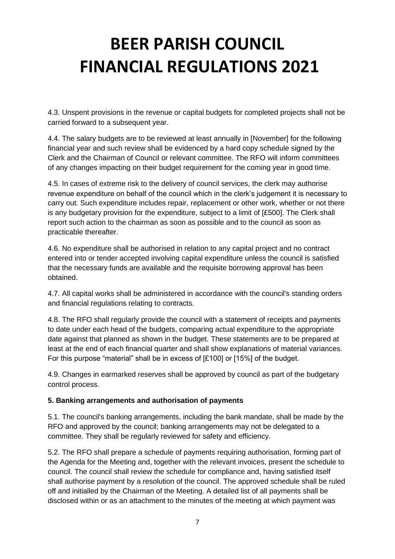4.3. Unspent provisions in the revenue or capital budgets for completed projects shall not be carried forward to a subsequent year.

4.4. The salary budgets are to be reviewed at least annually in [November] for the following financial year and such review shall be evidenced by a hard copy schedule signed by the Clerk and the Chairman of Council or relevant committee. The RFO will inform committees of any changes impacting on their budget requirement for the coming year in good time.

4.5. In cases of extreme risk to the delivery of council services, the clerk may authorise revenue expenditure on behalf of the council which in the clerk's judgement it is necessary to carry out. Such expenditure includes repair, replacement or other work, whether or not there is any budgetary provision for the expenditure, subject to a limit of [£500]. The Clerk shall report such action to the chairman as soon as possible and to the council as soon as practicable thereafter.

4.6. No expenditure shall be authorised in relation to any capital project and no contract entered into or tender accepted involving capital expenditure unless the council is satisfied that the necessary funds are available and the requisite borrowing approval has been obtained.

4.7. All capital works shall be administered in accordance with the council's standing orders and financial regulations relating to contracts.

4.8. The RFO shall regularly provide the council with a statement of receipts and payments to date under each head of the budgets, comparing actual expenditure to the appropriate date against that planned as shown in the budget. These statements are to be prepared at least at the end of each financial quarter and shall show explanations of material variances. For this purpose "material" shall be in excess of [£100] or [15%] of the budget.

4.9. Changes in earmarked reserves shall be approved by council as part of the budgetary control process.

#### **5. Banking arrangements and authorisation of payments**

5.1. The council's banking arrangements, including the bank mandate, shall be made by the RFO and approved by the council; banking arrangements may not be delegated to a committee. They shall be regularly reviewed for safety and efficiency.

5.2. The RFO shall prepare a schedule of payments requiring authorisation, forming part of the Agenda for the Meeting and, together with the relevant invoices, present the schedule to council. The council shall review the schedule for compliance and, having satisfied itself shall authorise payment by a resolution of the council. The approved schedule shall be ruled off and initialled by the Chairman of the Meeting. A detailed list of all payments shall be disclosed within or as an attachment to the minutes of the meeting at which payment was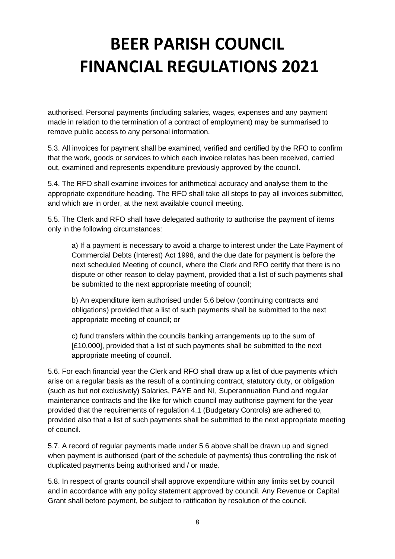authorised. Personal payments (including salaries, wages, expenses and any payment made in relation to the termination of a contract of employment) may be summarised to remove public access to any personal information.

5.3. All invoices for payment shall be examined, verified and certified by the RFO to confirm that the work, goods or services to which each invoice relates has been received, carried out, examined and represents expenditure previously approved by the council.

5.4. The RFO shall examine invoices for arithmetical accuracy and analyse them to the appropriate expenditure heading. The RFO shall take all steps to pay all invoices submitted, and which are in order, at the next available council meeting.

5.5. The Clerk and RFO shall have delegated authority to authorise the payment of items only in the following circumstances:

a) If a payment is necessary to avoid a charge to interest under the Late Payment of Commercial Debts (Interest) Act 1998, and the due date for payment is before the next scheduled Meeting of council, where the Clerk and RFO certify that there is no dispute or other reason to delay payment, provided that a list of such payments shall be submitted to the next appropriate meeting of council;

b) An expenditure item authorised under 5.6 below (continuing contracts and obligations) provided that a list of such payments shall be submitted to the next appropriate meeting of council; or

c) fund transfers within the councils banking arrangements up to the sum of [£10,000], provided that a list of such payments shall be submitted to the next appropriate meeting of council.

5.6. For each financial year the Clerk and RFO shall draw up a list of due payments which arise on a regular basis as the result of a continuing contract, statutory duty, or obligation (such as but not exclusively) Salaries, PAYE and NI, Superannuation Fund and regular maintenance contracts and the like for which council may authorise payment for the year provided that the requirements of regulation 4.1 (Budgetary Controls) are adhered to, provided also that a list of such payments shall be submitted to the next appropriate meeting of council.

5.7. A record of regular payments made under 5.6 above shall be drawn up and signed when payment is authorised (part of the schedule of payments) thus controlling the risk of duplicated payments being authorised and / or made.

5.8. In respect of grants council shall approve expenditure within any limits set by council and in accordance with any policy statement approved by council. Any Revenue or Capital Grant shall before payment, be subject to ratification by resolution of the council.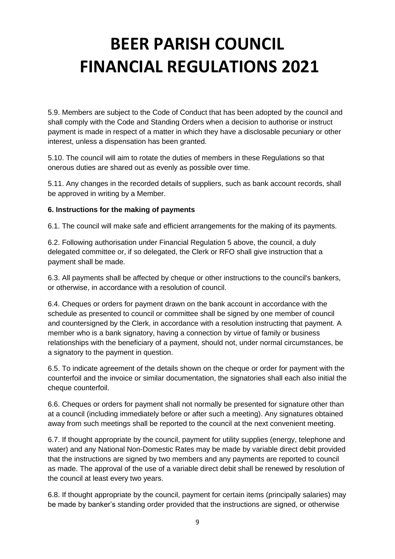5.9. Members are subject to the Code of Conduct that has been adopted by the council and shall comply with the Code and Standing Orders when a decision to authorise or instruct payment is made in respect of a matter in which they have a disclosable pecuniary or other interest, unless a dispensation has been granted.

5.10. The council will aim to rotate the duties of members in these Regulations so that onerous duties are shared out as evenly as possible over time.

5.11. Any changes in the recorded details of suppliers, such as bank account records, shall be approved in writing by a Member.

#### **6. Instructions for the making of payments**

6.1. The council will make safe and efficient arrangements for the making of its payments.

6.2. Following authorisation under Financial Regulation 5 above, the council, a duly delegated committee or, if so delegated, the Clerk or RFO shall give instruction that a payment shall be made.

6.3. All payments shall be affected by cheque or other instructions to the council's bankers, or otherwise, in accordance with a resolution of council.

6.4. Cheques or orders for payment drawn on the bank account in accordance with the schedule as presented to council or committee shall be signed by one member of council and countersigned by the Clerk, in accordance with a resolution instructing that payment. A member who is a bank signatory, having a connection by virtue of family or business relationships with the beneficiary of a payment, should not, under normal circumstances, be a signatory to the payment in question.

6.5. To indicate agreement of the details shown on the cheque or order for payment with the counterfoil and the invoice or similar documentation, the signatories shall each also initial the cheque counterfoil.

6.6. Cheques or orders for payment shall not normally be presented for signature other than at a council (including immediately before or after such a meeting). Any signatures obtained away from such meetings shall be reported to the council at the next convenient meeting.

6.7. If thought appropriate by the council, payment for utility supplies (energy, telephone and water) and any National Non-Domestic Rates may be made by variable direct debit provided that the instructions are signed by two members and any payments are reported to council as made. The approval of the use of a variable direct debit shall be renewed by resolution of the council at least every two years.

6.8. If thought appropriate by the council, payment for certain items (principally salaries) may be made by banker's standing order provided that the instructions are signed, or otherwise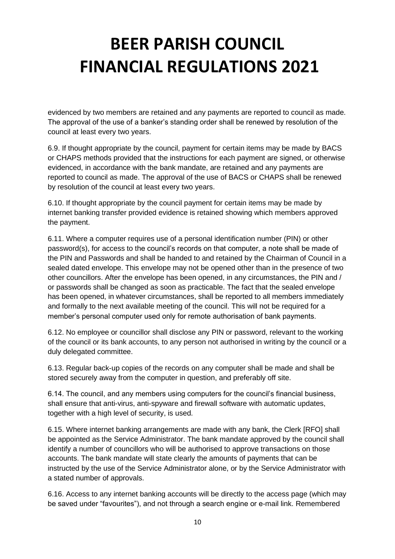evidenced by two members are retained and any payments are reported to council as made. The approval of the use of a banker's standing order shall be renewed by resolution of the council at least every two years.

6.9. If thought appropriate by the council, payment for certain items may be made by BACS or CHAPS methods provided that the instructions for each payment are signed, or otherwise evidenced, in accordance with the bank mandate, are retained and any payments are reported to council as made. The approval of the use of BACS or CHAPS shall be renewed by resolution of the council at least every two years.

6.10. If thought appropriate by the council payment for certain items may be made by internet banking transfer provided evidence is retained showing which members approved the payment.

6.11. Where a computer requires use of a personal identification number (PIN) or other password(s), for access to the council's records on that computer, a note shall be made of the PIN and Passwords and shall be handed to and retained by the Chairman of Council in a sealed dated envelope. This envelope may not be opened other than in the presence of two other councillors. After the envelope has been opened, in any circumstances, the PIN and / or passwords shall be changed as soon as practicable. The fact that the sealed envelope has been opened, in whatever circumstances, shall be reported to all members immediately and formally to the next available meeting of the council. This will not be required for a member's personal computer used only for remote authorisation of bank payments.

6.12. No employee or councillor shall disclose any PIN or password, relevant to the working of the council or its bank accounts, to any person not authorised in writing by the council or a duly delegated committee.

6.13. Regular back-up copies of the records on any computer shall be made and shall be stored securely away from the computer in question, and preferably off site.

6.14. The council, and any members using computers for the council's financial business, shall ensure that anti-virus, anti-spyware and firewall software with automatic updates, together with a high level of security, is used.

6.15. Where internet banking arrangements are made with any bank, the Clerk [RFO] shall be appointed as the Service Administrator. The bank mandate approved by the council shall identify a number of councillors who will be authorised to approve transactions on those accounts. The bank mandate will state clearly the amounts of payments that can be instructed by the use of the Service Administrator alone, or by the Service Administrator with a stated number of approvals.

6.16. Access to any internet banking accounts will be directly to the access page (which may be saved under "favourites"), and not through a search engine or e-mail link. Remembered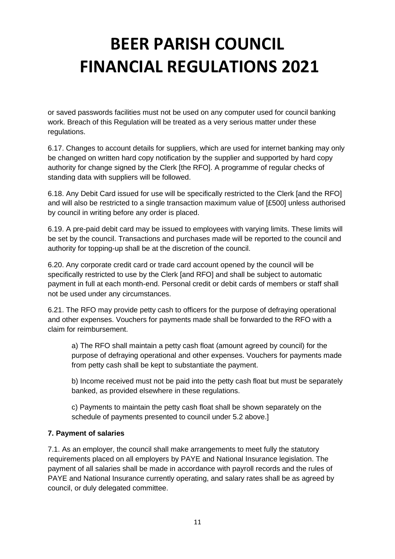or saved passwords facilities must not be used on any computer used for council banking work. Breach of this Regulation will be treated as a very serious matter under these regulations.

6.17. Changes to account details for suppliers, which are used for internet banking may only be changed on written hard copy notification by the supplier and supported by hard copy authority for change signed by the Clerk [the RFO]. A programme of regular checks of standing data with suppliers will be followed.

6.18. Any Debit Card issued for use will be specifically restricted to the Clerk [and the RFO] and will also be restricted to a single transaction maximum value of [£500] unless authorised by council in writing before any order is placed.

6.19. A pre-paid debit card may be issued to employees with varying limits. These limits will be set by the council. Transactions and purchases made will be reported to the council and authority for topping-up shall be at the discretion of the council.

6.20. Any corporate credit card or trade card account opened by the council will be specifically restricted to use by the Clerk [and RFO] and shall be subject to automatic payment in full at each month-end. Personal credit or debit cards of members or staff shall not be used under any circumstances.

6.21. The RFO may provide petty cash to officers for the purpose of defraying operational and other expenses. Vouchers for payments made shall be forwarded to the RFO with a claim for reimbursement.

a) The RFO shall maintain a petty cash float (amount agreed by council) for the purpose of defraying operational and other expenses. Vouchers for payments made from petty cash shall be kept to substantiate the payment.

b) Income received must not be paid into the petty cash float but must be separately banked, as provided elsewhere in these regulations.

c) Payments to maintain the petty cash float shall be shown separately on the schedule of payments presented to council under 5.2 above.]

#### **7. Payment of salaries**

7.1. As an employer, the council shall make arrangements to meet fully the statutory requirements placed on all employers by PAYE and National Insurance legislation. The payment of all salaries shall be made in accordance with payroll records and the rules of PAYE and National Insurance currently operating, and salary rates shall be as agreed by council, or duly delegated committee.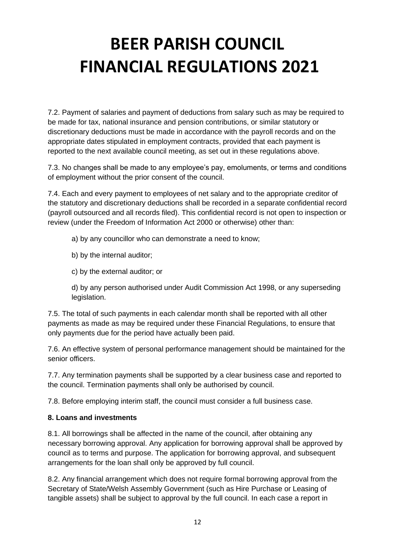7.2. Payment of salaries and payment of deductions from salary such as may be required to be made for tax, national insurance and pension contributions, or similar statutory or discretionary deductions must be made in accordance with the payroll records and on the appropriate dates stipulated in employment contracts, provided that each payment is reported to the next available council meeting, as set out in these regulations above.

7.3. No changes shall be made to any employee's pay, emoluments, or terms and conditions of employment without the prior consent of the council.

7.4. Each and every payment to employees of net salary and to the appropriate creditor of the statutory and discretionary deductions shall be recorded in a separate confidential record (payroll outsourced and all records filed). This confidential record is not open to inspection or review (under the Freedom of Information Act 2000 or otherwise) other than:

- a) by any councillor who can demonstrate a need to know;
- b) by the internal auditor;
- c) by the external auditor; or

d) by any person authorised under Audit Commission Act 1998, or any superseding legislation.

7.5. The total of such payments in each calendar month shall be reported with all other payments as made as may be required under these Financial Regulations, to ensure that only payments due for the period have actually been paid.

7.6. An effective system of personal performance management should be maintained for the senior officers.

7.7. Any termination payments shall be supported by a clear business case and reported to the council. Termination payments shall only be authorised by council.

7.8. Before employing interim staff, the council must consider a full business case.

#### **8. Loans and investments**

8.1. All borrowings shall be affected in the name of the council, after obtaining any necessary borrowing approval. Any application for borrowing approval shall be approved by council as to terms and purpose. The application for borrowing approval, and subsequent arrangements for the loan shall only be approved by full council.

8.2. Any financial arrangement which does not require formal borrowing approval from the Secretary of State/Welsh Assembly Government (such as Hire Purchase or Leasing of tangible assets) shall be subject to approval by the full council. In each case a report in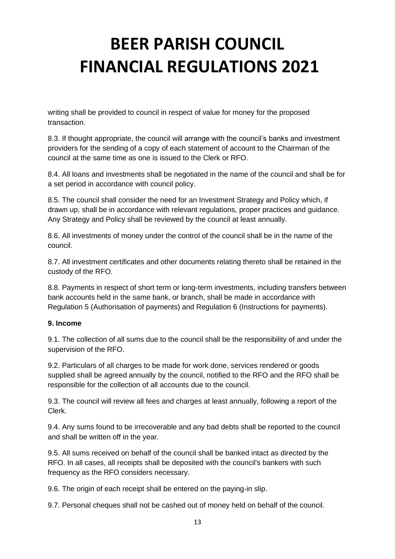writing shall be provided to council in respect of value for money for the proposed transaction.

8.3. If thought appropriate, the council will arrange with the council's banks and investment providers for the sending of a copy of each statement of account to the Chairman of the council at the same time as one is issued to the Clerk or RFO.

8.4. All loans and investments shall be negotiated in the name of the council and shall be for a set period in accordance with council policy.

8.5. The council shall consider the need for an Investment Strategy and Policy which, if drawn up, shall be in accordance with relevant regulations, proper practices and guidance. Any Strategy and Policy shall be reviewed by the council at least annually.

8.6. All investments of money under the control of the council shall be in the name of the council.

8.7. All investment certificates and other documents relating thereto shall be retained in the custody of the RFO.

8.8. Payments in respect of short term or long-term investments, including transfers between bank accounts held in the same bank, or branch, shall be made in accordance with Regulation 5 (Authorisation of payments) and Regulation 6 (Instructions for payments).

#### **9. Income**

9.1. The collection of all sums due to the council shall be the responsibility of and under the supervision of the RFO.

9.2. Particulars of all charges to be made for work done, services rendered or goods supplied shall be agreed annually by the council, notified to the RFO and the RFO shall be responsible for the collection of all accounts due to the council.

9.3. The council will review all fees and charges at least annually, following a report of the Clerk.

9.4. Any sums found to be irrecoverable and any bad debts shall be reported to the council and shall be written off in the year.

9.5. All sums received on behalf of the council shall be banked intact as directed by the RFO. In all cases, all receipts shall be deposited with the council's bankers with such frequency as the RFO considers necessary.

9.6. The origin of each receipt shall be entered on the paying-in slip.

9.7. Personal cheques shall not be cashed out of money held on behalf of the council.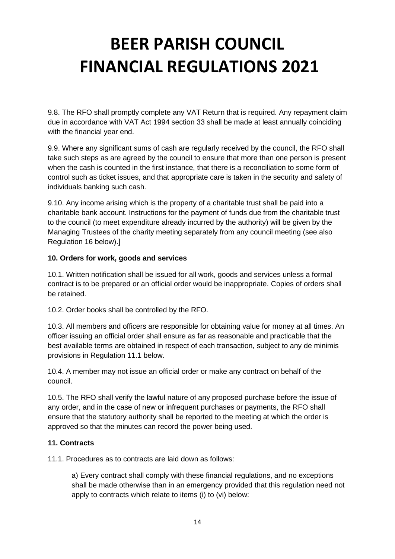9.8. The RFO shall promptly complete any VAT Return that is required. Any repayment claim due in accordance with VAT Act 1994 section 33 shall be made at least annually coinciding with the financial year end.

9.9. Where any significant sums of cash are regularly received by the council, the RFO shall take such steps as are agreed by the council to ensure that more than one person is present when the cash is counted in the first instance, that there is a reconciliation to some form of control such as ticket issues, and that appropriate care is taken in the security and safety of individuals banking such cash.

9.10. Any income arising which is the property of a charitable trust shall be paid into a charitable bank account. Instructions for the payment of funds due from the charitable trust to the council (to meet expenditure already incurred by the authority) will be given by the Managing Trustees of the charity meeting separately from any council meeting (see also Regulation 16 below).]

#### **10. Orders for work, goods and services**

10.1. Written notification shall be issued for all work, goods and services unless a formal contract is to be prepared or an official order would be inappropriate. Copies of orders shall be retained.

10.2. Order books shall be controlled by the RFO.

10.3. All members and officers are responsible for obtaining value for money at all times. An officer issuing an official order shall ensure as far as reasonable and practicable that the best available terms are obtained in respect of each transaction, subject to any de minimis provisions in Regulation 11.1 below.

10.4. A member may not issue an official order or make any contract on behalf of the council.

10.5. The RFO shall verify the lawful nature of any proposed purchase before the issue of any order, and in the case of new or infrequent purchases or payments, the RFO shall ensure that the statutory authority shall be reported to the meeting at which the order is approved so that the minutes can record the power being used.

#### **11. Contracts**

11.1. Procedures as to contracts are laid down as follows:

a) Every contract shall comply with these financial regulations, and no exceptions shall be made otherwise than in an emergency provided that this regulation need not apply to contracts which relate to items (i) to (vi) below: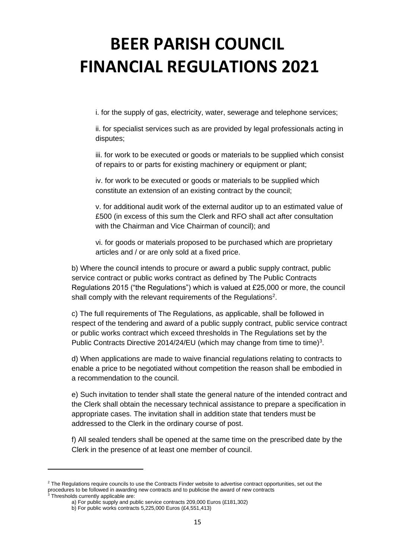i. for the supply of gas, electricity, water, sewerage and telephone services;

ii. for specialist services such as are provided by legal professionals acting in disputes;

iii. for work to be executed or goods or materials to be supplied which consist of repairs to or parts for existing machinery or equipment or plant;

iv. for work to be executed or goods or materials to be supplied which constitute an extension of an existing contract by the council;

v. for additional audit work of the external auditor up to an estimated value of £500 (in excess of this sum the Clerk and RFO shall act after consultation with the Chairman and Vice Chairman of council); and

vi. for goods or materials proposed to be purchased which are proprietary articles and / or are only sold at a fixed price.

b) Where the council intends to procure or award a public supply contract, public service contract or public works contract as defined by The Public Contracts Regulations 2015 ("the Regulations") which is valued at £25,000 or more, the council shall comply with the relevant requirements of the Regulations<sup>2</sup>.

c) The full requirements of The Regulations, as applicable, shall be followed in respect of the tendering and award of a public supply contract, public service contract or public works contract which exceed thresholds in The Regulations set by the Public Contracts Directive 2014/24/EU (which may change from time to time)<sup>3</sup>.

d) When applications are made to waive financial regulations relating to contracts to enable a price to be negotiated without competition the reason shall be embodied in a recommendation to the council.

e) Such invitation to tender shall state the general nature of the intended contract and the Clerk shall obtain the necessary technical assistance to prepare a specification in appropriate cases. The invitation shall in addition state that tenders must be addressed to the Clerk in the ordinary course of post.

f) All sealed tenders shall be opened at the same time on the prescribed date by the Clerk in the presence of at least one member of council.

<sup>&</sup>lt;sup>2</sup> The Regulations require councils to use the Contracts Finder website to advertise contract opportunities, set out the procedures to be followed in awarding new contracts and to publicise the award of new contracts

<sup>&</sup>lt;sup>3</sup> Thresholds currently applicable are:

a) For public supply and public service contracts 209,000 Euros (£181,302)

b) For public works contracts 5,225,000 Euros (£4,551,413)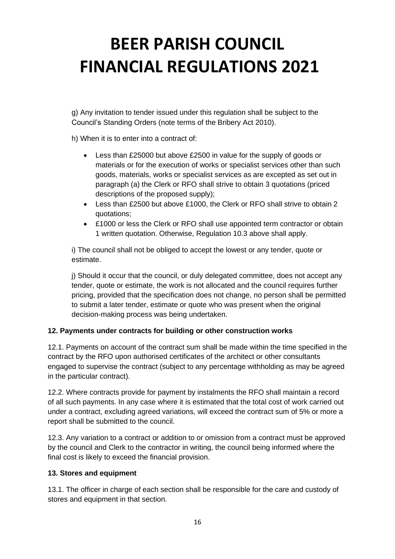g) Any invitation to tender issued under this regulation shall be subject to the Council's Standing Orders (note terms of the Bribery Act 2010).

h) When it is to enter into a contract of:

- Less than £25000 but above £2500 in value for the supply of goods or materials or for the execution of works or specialist services other than such goods, materials, works or specialist services as are excepted as set out in paragraph (a) the Clerk or RFO shall strive to obtain 3 quotations (priced descriptions of the proposed supply);
- Less than £2500 but above £1000, the Clerk or RFO shall strive to obtain 2 quotations;
- £1000 or less the Clerk or RFO shall use appointed term contractor or obtain 1 written quotation. Otherwise, Regulation 10.3 above shall apply.

i) The council shall not be obliged to accept the lowest or any tender, quote or estimate.

j) Should it occur that the council, or duly delegated committee, does not accept any tender, quote or estimate, the work is not allocated and the council requires further pricing, provided that the specification does not change, no person shall be permitted to submit a later tender, estimate or quote who was present when the original decision-making process was being undertaken.

### **12. Payments under contracts for building or other construction works**

12.1. Payments on account of the contract sum shall be made within the time specified in the contract by the RFO upon authorised certificates of the architect or other consultants engaged to supervise the contract (subject to any percentage withholding as may be agreed in the particular contract).

12.2. Where contracts provide for payment by instalments the RFO shall maintain a record of all such payments. In any case where it is estimated that the total cost of work carried out under a contract, excluding agreed variations, will exceed the contract sum of 5% or more a report shall be submitted to the council.

12.3. Any variation to a contract or addition to or omission from a contract must be approved by the council and Clerk to the contractor in writing, the council being informed where the final cost is likely to exceed the financial provision.

#### **13. Stores and equipment**

13.1. The officer in charge of each section shall be responsible for the care and custody of stores and equipment in that section.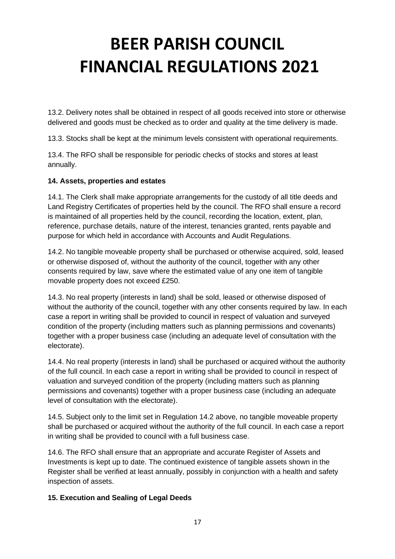13.2. Delivery notes shall be obtained in respect of all goods received into store or otherwise delivered and goods must be checked as to order and quality at the time delivery is made.

13.3. Stocks shall be kept at the minimum levels consistent with operational requirements.

13.4. The RFO shall be responsible for periodic checks of stocks and stores at least annually.

#### **14. Assets, properties and estates**

14.1. The Clerk shall make appropriate arrangements for the custody of all title deeds and Land Registry Certificates of properties held by the council. The RFO shall ensure a record is maintained of all properties held by the council, recording the location, extent, plan, reference, purchase details, nature of the interest, tenancies granted, rents payable and purpose for which held in accordance with Accounts and Audit Regulations.

14.2. No tangible moveable property shall be purchased or otherwise acquired, sold, leased or otherwise disposed of, without the authority of the council, together with any other consents required by law, save where the estimated value of any one item of tangible movable property does not exceed £250.

14.3. No real property (interests in land) shall be sold, leased or otherwise disposed of without the authority of the council, together with any other consents required by law. In each case a report in writing shall be provided to council in respect of valuation and surveyed condition of the property (including matters such as planning permissions and covenants) together with a proper business case (including an adequate level of consultation with the electorate).

14.4. No real property (interests in land) shall be purchased or acquired without the authority of the full council. In each case a report in writing shall be provided to council in respect of valuation and surveyed condition of the property (including matters such as planning permissions and covenants) together with a proper business case (including an adequate level of consultation with the electorate).

14.5. Subject only to the limit set in Regulation 14.2 above, no tangible moveable property shall be purchased or acquired without the authority of the full council. In each case a report in writing shall be provided to council with a full business case.

14.6. The RFO shall ensure that an appropriate and accurate Register of Assets and Investments is kept up to date. The continued existence of tangible assets shown in the Register shall be verified at least annually, possibly in conjunction with a health and safety inspection of assets.

#### **15. Execution and Sealing of Legal Deeds**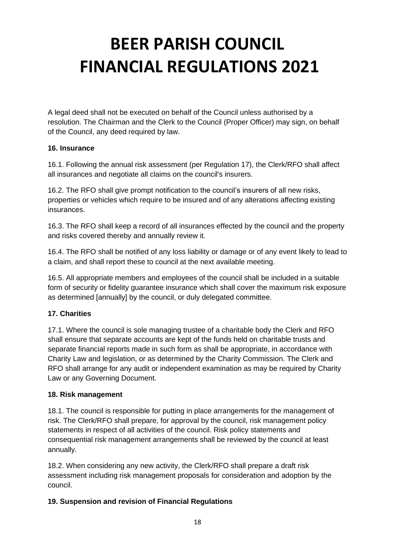A legal deed shall not be executed on behalf of the Council unless authorised by a resolution. The Chairman and the Clerk to the Council (Proper Officer) may sign, on behalf of the Council, any deed required by law.

#### **16. Insurance**

16.1. Following the annual risk assessment (per Regulation 17), the Clerk/RFO shall affect all insurances and negotiate all claims on the council's insurers.

16.2. The RFO shall give prompt notification to the council's insurers of all new risks, properties or vehicles which require to be insured and of any alterations affecting existing insurances.

16.3. The RFO shall keep a record of all insurances effected by the council and the property and risks covered thereby and annually review it.

16.4. The RFO shall be notified of any loss liability or damage or of any event likely to lead to a claim, and shall report these to council at the next available meeting.

16.5. All appropriate members and employees of the council shall be included in a suitable form of security or fidelity guarantee insurance which shall cover the maximum risk exposure as determined [annually] by the council, or duly delegated committee.

### **17. Charities**

17.1. Where the council is sole managing trustee of a charitable body the Clerk and RFO shall ensure that separate accounts are kept of the funds held on charitable trusts and separate financial reports made in such form as shall be appropriate, in accordance with Charity Law and legislation, or as determined by the Charity Commission. The Clerk and RFO shall arrange for any audit or independent examination as may be required by Charity Law or any Governing Document.

### **18. Risk management**

18.1. The council is responsible for putting in place arrangements for the management of risk. The Clerk/RFO shall prepare, for approval by the council, risk management policy statements in respect of all activities of the council. Risk policy statements and consequential risk management arrangements shall be reviewed by the council at least annually.

18.2. When considering any new activity, the Clerk/RFO shall prepare a draft risk assessment including risk management proposals for consideration and adoption by the council.

### **19. Suspension and revision of Financial Regulations**